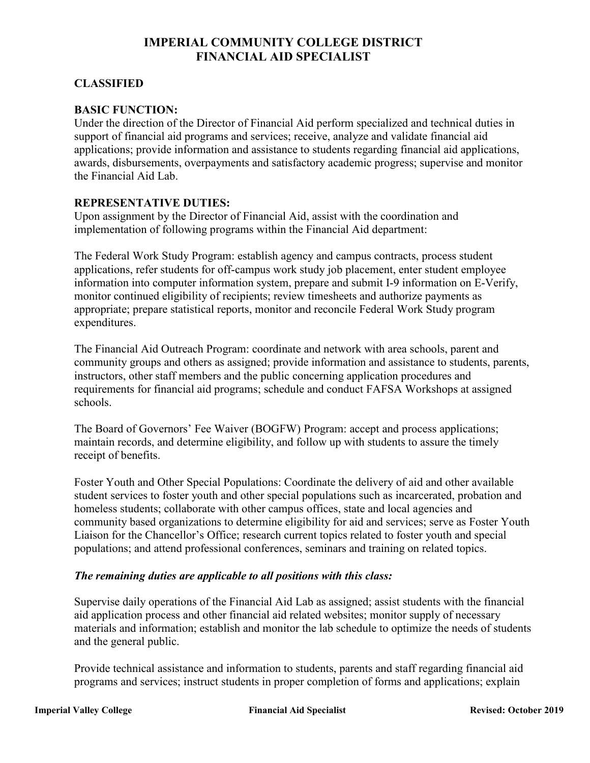# **IMPERIAL COMMUNITY COLLEGE DISTRICT FINANCIAL AID SPECIALIST**

# **CLASSIFIED**

# **BASIC FUNCTION:**

Under the direction of the Director of Financial Aid perform specialized and technical duties in support of financial aid programs and services; receive, analyze and validate financial aid applications; provide information and assistance to students regarding financial aid applications, awards, disbursements, overpayments and satisfactory academic progress; supervise and monitor the Financial Aid Lab.

# **REPRESENTATIVE DUTIES:**

Upon assignment by the Director of Financial Aid, assist with the coordination and implementation of following programs within the Financial Aid department:

The Federal Work Study Program: establish agency and campus contracts, process student applications, refer students for off-campus work study job placement, enter student employee information into computer information system, prepare and submit I-9 information on E-Verify, monitor continued eligibility of recipients; review timesheets and authorize payments as appropriate; prepare statistical reports, monitor and reconcile Federal Work Study program expenditures.

The Financial Aid Outreach Program: coordinate and network with area schools, parent and community groups and others as assigned; provide information and assistance to students, parents, instructors, other staff members and the public concerning application procedures and requirements for financial aid programs; schedule and conduct FAFSA Workshops at assigned schools.

The Board of Governors' Fee Waiver (BOGFW) Program: accept and process applications; maintain records, and determine eligibility, and follow up with students to assure the timely receipt of benefits.

Foster Youth and Other Special Populations: Coordinate the delivery of aid and other available student services to foster youth and other special populations such as incarcerated, probation and homeless students; collaborate with other campus offices, state and local agencies and community based organizations to determine eligibility for aid and services; serve as Foster Youth Liaison for the Chancellor's Office; research current topics related to foster youth and special populations; and attend professional conferences, seminars and training on related topics.

#### *The remaining duties are applicable to all positions with this class:*

Supervise daily operations of the Financial Aid Lab as assigned; assist students with the financial aid application process and other financial aid related websites; monitor supply of necessary materials and information; establish and monitor the lab schedule to optimize the needs of students and the general public.

Provide technical assistance and information to students, parents and staff regarding financial aid programs and services; instruct students in proper completion of forms and applications; explain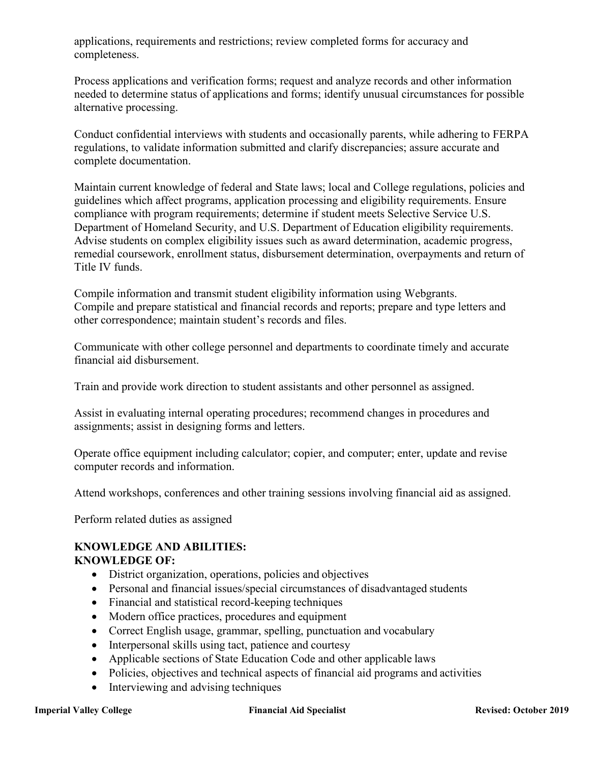applications, requirements and restrictions; review completed forms for accuracy and completeness.

Process applications and verification forms; request and analyze records and other information needed to determine status of applications and forms; identify unusual circumstances for possible alternative processing.

Conduct confidential interviews with students and occasionally parents, while adhering to FERPA regulations, to validate information submitted and clarify discrepancies; assure accurate and complete documentation.

Maintain current knowledge of federal and State laws; local and College regulations, policies and guidelines which affect programs, application processing and eligibility requirements. Ensure compliance with program requirements; determine if student meets Selective Service U.S. Department of Homeland Security, and U.S. Department of Education eligibility requirements. Advise students on complex eligibility issues such as award determination, academic progress, remedial coursework, enrollment status, disbursement determination, overpayments and return of Title IV funds.

Compile information and transmit student eligibility information using Webgrants. Compile and prepare statistical and financial records and reports; prepare and type letters and other correspondence; maintain student's records and files.

Communicate with other college personnel and departments to coordinate timely and accurate financial aid disbursement.

Train and provide work direction to student assistants and other personnel as assigned.

Assist in evaluating internal operating procedures; recommend changes in procedures and assignments; assist in designing forms and letters.

Operate office equipment including calculator; copier, and computer; enter, update and revise computer records and information.

Attend workshops, conferences and other training sessions involving financial aid as assigned.

Perform related duties as assigned

#### **KNOWLEDGE AND ABILITIES: KNOWLEDGE OF:**

- District organization, operations, policies and objectives
- Personal and financial issues/special circumstances of disadvantaged students
- Financial and statistical record-keeping techniques
- Modern office practices, procedures and equipment
- Correct English usage, grammar, spelling, punctuation and vocabulary
- Interpersonal skills using tact, patience and courtesy
- Applicable sections of State Education Code and other applicable laws
- Policies, objectives and technical aspects of financial aid programs and activities
- Interviewing and advising techniques